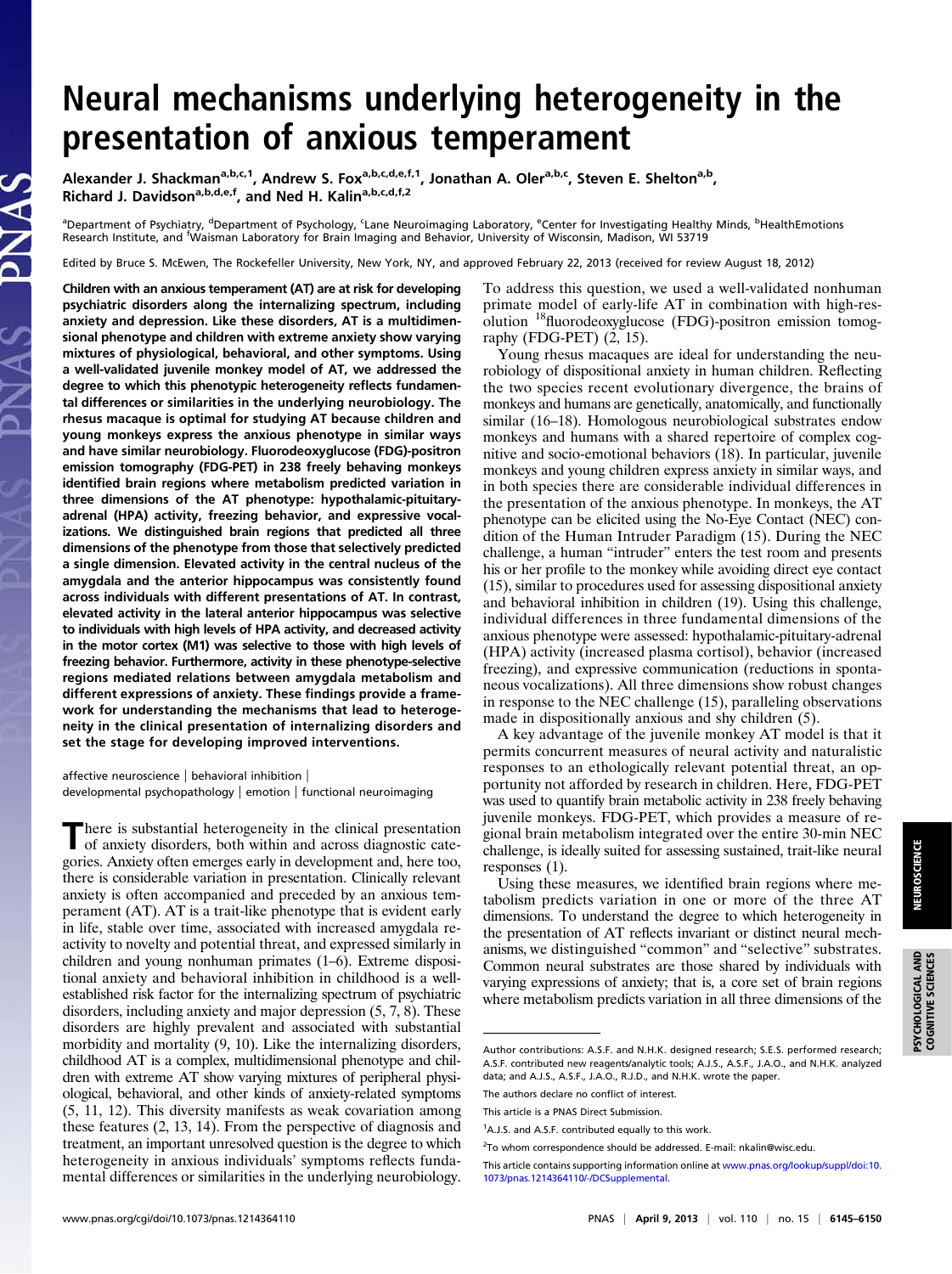## Neural mechanisms underlying heterogeneity in the presentation of anxious temperament

Alexander J. Shackman<sup>a,b,c,1</sup>, Andrew S. Fox<sup>a,b,c,d,e,f,1</sup>, Jonathan A. Oler<sup>a,b,c</sup>, Steven E. Shelton<sup>a,b</sup>, Richard J. Davidson<sup>a,b,d,e,f</sup>, and Ned H. Kalin<sup>a,b,c,d,f,2</sup>

<sup>a</sup>Department of Psychiatry, <sup>d</sup>Department of Psychology, <sup>c</sup>Lane Neuroimaging Laboratory, <sup>e</sup>Center for Investigating Healthy Minds, <sup>b</sup>HealthEmotions Research Institute, and <sup>f</sup> Waisman Laboratory for Brain Imaging and Behavior, University of Wisconsin, Madison, WI 53719

Edited by Bruce S. McEwen, The Rockefeller University, New York, NY, and approved February 22, 2013 (received for review August 18, 2012)

Children with an anxious temperament (AT) are at risk for developing psychiatric disorders along the internalizing spectrum, including anxiety and depression. Like these disorders, AT is a multidimensional phenotype and children with extreme anxiety show varying mixtures of physiological, behavioral, and other symptoms. Using a well-validated juvenile monkey model of AT, we addressed the degree to which this phenotypic heterogeneity reflects fundamental differences or similarities in the underlying neurobiology. The rhesus macaque is optimal for studying AT because children and young monkeys express the anxious phenotype in similar ways and have similar neurobiology. Fluorodeoxyglucose (FDG)-positron emission tomography (FDG-PET) in 238 freely behaving monkeys identified brain regions where metabolism predicted variation in three dimensions of the AT phenotype: hypothalamic-pituitaryadrenal (HPA) activity, freezing behavior, and expressive vocalizations. We distinguished brain regions that predicted all three dimensions of the phenotype from those that selectively predicted a single dimension. Elevated activity in the central nucleus of the amygdala and the anterior hippocampus was consistently found across individuals with different presentations of AT. In contrast, elevated activity in the lateral anterior hippocampus was selective to individuals with high levels of HPA activity, and decreased activity in the motor cortex (M1) was selective to those with high levels of freezing behavior. Furthermore, activity in these phenotype-selective regions mediated relations between amygdala metabolism and different expressions of anxiety. These findings provide a framework for understanding the mechanisms that lead to heterogeneity in the clinical presentation of internalizing disorders and set the stage for developing improved interventions.

affective neuroscience | behavioral inhibition | developmental psychopathology | emotion | functional neuroimaging

There is substantial heterogeneity in the clinical presentation of anxiety disorders, both within and across diagnostic categories. Anxiety often emerges early in development and, here too, there is considerable variation in presentation. Clinically relevant anxiety is often accompanied and preceded by an anxious temperament (AT). AT is a trait-like phenotype that is evident early in life, stable over time, associated with increased amygdala reactivity to novelty and potential threat, and expressed similarly in children and young nonhuman primates (1–6). Extreme dispositional anxiety and behavioral inhibition in childhood is a wellestablished risk factor for the internalizing spectrum of psychiatric disorders, including anxiety and major depression (5, 7, 8). These disorders are highly prevalent and associated with substantial morbidity and mortality (9, 10). Like the internalizing disorders, childhood AT is a complex, multidimensional phenotype and children with extreme AT show varying mixtures of peripheral physiological, behavioral, and other kinds of anxiety-related symptoms (5, 11, 12). This diversity manifests as weak covariation among these features (2, 13, 14). From the perspective of diagnosis and treatment, an important unresolved question is the degree to which heterogeneity in anxious individuals' symptoms reflects fundamental differences or similarities in the underlying neurobiology.

To address this question, we used a well-validated nonhuman primate model of early-life AT in combination with high-resolution <sup>18</sup>fluorodeoxyglucose (FDG)-positron emission tomography (FDG-PET) (2, 15).

Young rhesus macaques are ideal for understanding the neurobiology of dispositional anxiety in human children. Reflecting the two species recent evolutionary divergence, the brains of monkeys and humans are genetically, anatomically, and functionally similar (16–18). Homologous neurobiological substrates endow monkeys and humans with a shared repertoire of complex cognitive and socio-emotional behaviors (18). In particular, juvenile monkeys and young children express anxiety in similar ways, and in both species there are considerable individual differences in the presentation of the anxious phenotype. In monkeys, the AT phenotype can be elicited using the No-Eye Contact (NEC) condition of the Human Intruder Paradigm (15). During the NEC challenge, a human "intruder" enters the test room and presents his or her profile to the monkey while avoiding direct eye contact (15), similar to procedures used for assessing dispositional anxiety and behavioral inhibition in children (19). Using this challenge, individual differences in three fundamental dimensions of the anxious phenotype were assessed: hypothalamic-pituitary-adrenal (HPA) activity (increased plasma cortisol), behavior (increased freezing), and expressive communication (reductions in spontaneous vocalizations). All three dimensions show robust changes in response to the NEC challenge (15), paralleling observations made in dispositionally anxious and shy children (5).

A key advantage of the juvenile monkey AT model is that it permits concurrent measures of neural activity and naturalistic responses to an ethologically relevant potential threat, an opportunity not afforded by research in children. Here, FDG-PET was used to quantify brain metabolic activity in 238 freely behaving juvenile monkeys. FDG-PET, which provides a measure of regional brain metabolism integrated over the entire 30-min NEC challenge, is ideally suited for assessing sustained, trait-like neural responses (1).

Using these measures, we identified brain regions where metabolism predicts variation in one or more of the three AT dimensions. To understand the degree to which heterogeneity in the presentation of AT reflects invariant or distinct neural mechanisms, we distinguished "common" and "selective" substrates. Common neural substrates are those shared by individuals with varying expressions of anxiety; that is, a core set of brain regions where metabolism predicts variation in all three dimensions of the

The authors declare no conflict of interest.

Author contributions: A.S.F. and N.H.K. designed research; S.E.S. performed research; A.S.F. contributed new reagents/analytic tools; A.J.S., A.S.F., J.A.O., and N.H.K. analyzed data; and A.J.S., A.S.F., J.A.O., R.J.D., and N.H.K. wrote the paper.

This article is a PNAS Direct Submission.

<sup>&</sup>lt;sup>1</sup>A.J.S. and A.S.F. contributed equally to this work.

<sup>&</sup>lt;sup>2</sup>To whom correspondence should be addressed. E-mail: [nkalin@wisc.edu.](mailto:nkalin@wisc.edu)

This article contains supporting information online at [www.pnas.org/lookup/suppl/doi:10.](http://www.pnas.org/lookup/suppl/doi:10.1073/pnas.1214364110/-/DCSupplemental) [1073/pnas.1214364110/-/DCSupplemental](http://www.pnas.org/lookup/suppl/doi:10.1073/pnas.1214364110/-/DCSupplemental).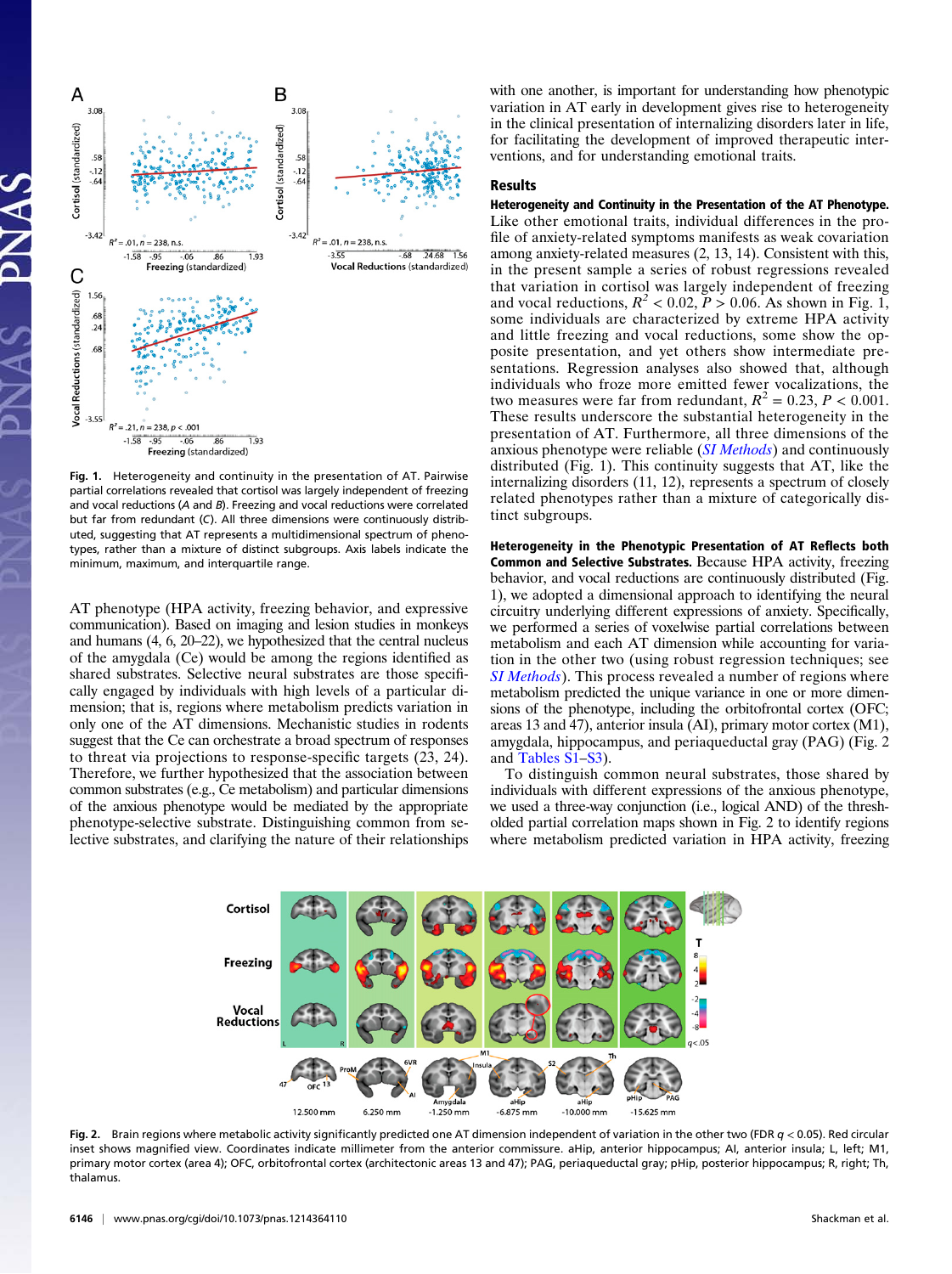

Fig. 1. Heterogeneity and continuity in the presentation of AT. Pairwise partial correlations revealed that cortisol was largely independent of freezing and vocal reductions (A and B). Freezing and vocal reductions were correlated but far from redundant (C). All three dimensions were continuously distributed, suggesting that AT represents a multidimensional spectrum of phenotypes, rather than a mixture of distinct subgroups. Axis labels indicate the minimum, maximum, and interquartile range.

AT phenotype (HPA activity, freezing behavior, and expressive communication). Based on imaging and lesion studies in monkeys and humans (4, 6, 20–22), we hypothesized that the central nucleus of the amygdala (Ce) would be among the regions identified as shared substrates. Selective neural substrates are those specifically engaged by individuals with high levels of a particular dimension; that is, regions where metabolism predicts variation in only one of the AT dimensions. Mechanistic studies in rodents suggest that the Ce can orchestrate a broad spectrum of responses to threat via projections to response-specific targets (23, 24). Therefore, we further hypothesized that the association between common substrates (e.g., Ce metabolism) and particular dimensions of the anxious phenotype would be mediated by the appropriate phenotype-selective substrate. Distinguishing common from selective substrates, and clarifying the nature of their relationships

with one another, is important for understanding how phenotypic variation in AT early in development gives rise to heterogeneity in the clinical presentation of internalizing disorders later in life, for facilitating the development of improved therapeutic interventions, and for understanding emotional traits.

## Results

Heterogeneity and Continuity in the Presentation of the AT Phenotype. Like other emotional traits, individual differences in the profile of anxiety-related symptoms manifests as weak covariation among anxiety-related measures (2, 13, 14). Consistent with this, in the present sample a series of robust regressions revealed that variation in cortisol was largely independent of freezing and vocal reductions,  $R^2 < 0.02$ ,  $P > 0.06$ . As shown in Fig. 1, some individuals are characterized by extreme HPA activity and little freezing and vocal reductions, some show the opposite presentation, and yet others show intermediate presentations. Regression analyses also showed that, although individuals who froze more emitted fewer vocalizations, the two measures were far from redundant,  $R^2 = 0.23$ ,  $P < 0.001$ . These results underscore the substantial heterogeneity in the presentation of AT. Furthermore, all three dimensions of the anxious phenotype were reliable *([SI Methods](http://www.pnas.org/lookup/suppl/doi:10.1073/pnas.1214364110/-/DCSupplemental/pnas.201214364SI.pdf?targetid=nameddest=STXT))* and continuously distributed (Fig. 1). This continuity suggests that AT, like the internalizing disorders (11, 12), represents a spectrum of closely related phenotypes rather than a mixture of categorically distinct subgroups.

Heterogeneity in the Phenotypic Presentation of AT Reflects both Common and Selective Substrates. Because HPA activity, freezing behavior, and vocal reductions are continuously distributed (Fig. 1), we adopted a dimensional approach to identifying the neural circuitry underlying different expressions of anxiety. Specifically, we performed a series of voxelwise partial correlations between metabolism and each AT dimension while accounting for variation in the other two (using robust regression techniques; see [SI Methods](http://www.pnas.org/lookup/suppl/doi:10.1073/pnas.1214364110/-/DCSupplemental/pnas.201214364SI.pdf?targetid=nameddest=STXT)). This process revealed a number of regions where metabolism predicted the unique variance in one or more dimensions of the phenotype, including the orbitofrontal cortex (OFC; areas 13 and 47), anterior insula (AI), primary motor cortex (M1), amygdala, hippocampus, and periaqueductal gray (PAG) (Fig. 2 and [Tables S1](http://www.pnas.org/lookup/suppl/doi:10.1073/pnas.1214364110/-/DCSupplemental/pnas.201214364SI.pdf?targetid=nameddest=ST1)–[S3](http://www.pnas.org/lookup/suppl/doi:10.1073/pnas.1214364110/-/DCSupplemental/pnas.201214364SI.pdf?targetid=nameddest=ST3)).

To distinguish common neural substrates, those shared by individuals with different expressions of the anxious phenotype, we used a three-way conjunction (i.e., logical AND) of the thresholded partial correlation maps shown in Fig. 2 to identify regions where metabolism predicted variation in HPA activity, freezing



Fig. 2. Brain regions where metabolic activity significantly predicted one AT dimension independent of variation in the other two (FDR  $q$  < 0.05). Red circular inset shows magnified view. Coordinates indicate millimeter from the anterior commissure. aHip, anterior hippocampus; AI, anterior insula; L, left; M1, primary motor cortex (area 4); OFC, orbitofrontal cortex (architectonic areas 13 and 47); PAG, periaqueductal gray; pHip, posterior hippocampus; R, right; Th, thalamus.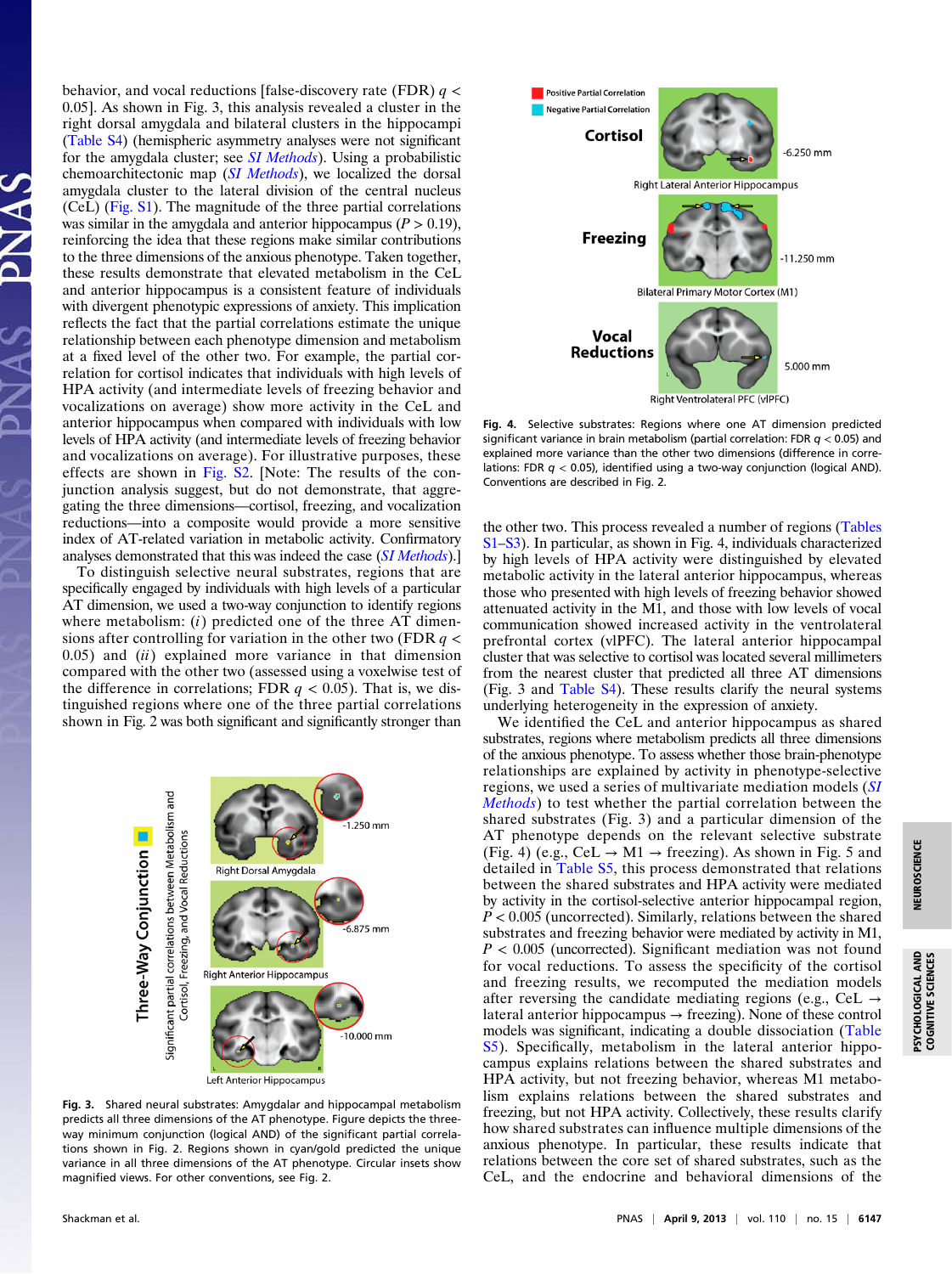behavior, and vocal reductions [false-discovery rate (FDR)  $q \lt \theta$ 0.05]. As shown in Fig. 3, this analysis revealed a cluster in the right dorsal amygdala and bilateral clusters in the hippocampi ([Table S4](http://www.pnas.org/lookup/suppl/doi:10.1073/pnas.1214364110/-/DCSupplemental/pnas.201214364SI.pdf?targetid=nameddest=ST4)) (hemispheric asymmetry analyses were not significant for the amygdala cluster; see *[SI Methods](http://www.pnas.org/lookup/suppl/doi:10.1073/pnas.1214364110/-/DCSupplemental/pnas.201214364SI.pdf?targetid=nameddest=STXT)*). Using a probabilistic chemoarchitectonic map ([SI Methods](http://www.pnas.org/lookup/suppl/doi:10.1073/pnas.1214364110/-/DCSupplemental/pnas.201214364SI.pdf?targetid=nameddest=STXT)), we localized the dorsal amygdala cluster to the lateral division of the central nucleus (CeL) [\(Fig. S1\)](http://www.pnas.org/lookup/suppl/doi:10.1073/pnas.1214364110/-/DCSupplemental/pnas.201214364SI.pdf?targetid=nameddest=SF1). The magnitude of the three partial correlations was similar in the amygdala and anterior hippocampus ( $P > 0.19$ ), reinforcing the idea that these regions make similar contributions to the three dimensions of the anxious phenotype. Taken together, these results demonstrate that elevated metabolism in the CeL and anterior hippocampus is a consistent feature of individuals with divergent phenotypic expressions of anxiety. This implication reflects the fact that the partial correlations estimate the unique relationship between each phenotype dimension and metabolism at a fixed level of the other two. For example, the partial correlation for cortisol indicates that individuals with high levels of HPA activity (and intermediate levels of freezing behavior and vocalizations on average) show more activity in the CeL and anterior hippocampus when compared with individuals with low levels of HPA activity (and intermediate levels of freezing behavior and vocalizations on average). For illustrative purposes, these effects are shown in [Fig. S2](http://www.pnas.org/lookup/suppl/doi:10.1073/pnas.1214364110/-/DCSupplemental/pnas.201214364SI.pdf?targetid=nameddest=SF2). [Note: The results of the conjunction analysis suggest, but do not demonstrate, that aggregating the three dimensions—cortisol, freezing, and vocalization reductions—into a composite would provide a more sensitive index of AT-related variation in metabolic activity. Confirmatory analyses demonstrated that this was indeed the case ([SI Methods](http://www.pnas.org/lookup/suppl/doi:10.1073/pnas.1214364110/-/DCSupplemental/pnas.201214364SI.pdf?targetid=nameddest=STXT)).]

To distinguish selective neural substrates, regions that are specifically engaged by individuals with high levels of a particular AT dimension, we used a two-way conjunction to identify regions where metabolism:  $(i)$  predicted one of the three AT dimensions after controlling for variation in the other two (FDR  $q \lt$  $0.05$ ) and  $(ii)$  explained more variance in that dimension compared with the other two (assessed using a voxelwise test of the difference in correlations; FDR  $q < 0.05$ ). That is, we distinguished regions where one of the three partial correlations shown in Fig. 2 was both significant and significantly stronger than



Fig. 3. Shared neural substrates: Amygdalar and hippocampal metabolism predicts all three dimensions of the AT phenotype. Figure depicts the threeway minimum conjunction (logical AND) of the significant partial correlations shown in Fig. 2. Regions shown in cyan/gold predicted the unique variance in all three dimensions of the AT phenotype. Circular insets show magnified views. For other conventions, see Fig. 2.



Fig. 4. Selective substrates: Regions where one AT dimension predicted significant variance in brain metabolism (partial correlation: FDR  $q < 0.05$ ) and explained more variance than the other two dimensions (difference in correlations: FDR  $q < 0.05$ ), identified using a two-way conjunction (logical AND). Conventions are described in Fig. 2.

the other two. This process revealed a number of regions ([Tables](http://www.pnas.org/lookup/suppl/doi:10.1073/pnas.1214364110/-/DCSupplemental/pnas.201214364SI.pdf?targetid=nameddest=ST1) [S1](http://www.pnas.org/lookup/suppl/doi:10.1073/pnas.1214364110/-/DCSupplemental/pnas.201214364SI.pdf?targetid=nameddest=ST1)–[S3](http://www.pnas.org/lookup/suppl/doi:10.1073/pnas.1214364110/-/DCSupplemental/pnas.201214364SI.pdf?targetid=nameddest=ST3)). In particular, as shown in Fig. 4, individuals characterized by high levels of HPA activity were distinguished by elevated metabolic activity in the lateral anterior hippocampus, whereas those who presented with high levels of freezing behavior showed attenuated activity in the M1, and those with low levels of vocal communication showed increased activity in the ventrolateral prefrontal cortex (vlPFC). The lateral anterior hippocampal cluster that was selective to cortisol was located several millimeters from the nearest cluster that predicted all three AT dimensions (Fig. 3 and [Table S4\)](http://www.pnas.org/lookup/suppl/doi:10.1073/pnas.1214364110/-/DCSupplemental/pnas.201214364SI.pdf?targetid=nameddest=ST4). These results clarify the neural systems underlying heterogeneity in the expression of anxiety.

We identified the CeL and anterior hippocampus as shared substrates, regions where metabolism predicts all three dimensions of the anxious phenotype. To assess whether those brain-phenotype relationships are explained by activity in phenotype-selective regions, we used a series of multivariate mediation models ([SI](http://www.pnas.org/lookup/suppl/doi:10.1073/pnas.1214364110/-/DCSupplemental/pnas.201214364SI.pdf?targetid=nameddest=STXT) [Methods](http://www.pnas.org/lookup/suppl/doi:10.1073/pnas.1214364110/-/DCSupplemental/pnas.201214364SI.pdf?targetid=nameddest=STXT)) to test whether the partial correlation between the shared substrates (Fig. 3) and a particular dimension of the AT phenotype depends on the relevant selective substrate (Fig. 4) (e.g.,  $CeL \rightarrow M1 \rightarrow$  freezing). As shown in Fig. 5 and detailed in [Table S5](http://www.pnas.org/lookup/suppl/doi:10.1073/pnas.1214364110/-/DCSupplemental/pnas.201214364SI.pdf?targetid=nameddest=ST5), this process demonstrated that relations between the shared substrates and HPA activity were mediated by activity in the cortisol-selective anterior hippocampal region,  $P < 0.005$  (uncorrected). Similarly, relations between the shared substrates and freezing behavior were mediated by activity in M1,  $P < 0.005$  (uncorrected). Significant mediation was not found for vocal reductions. To assess the specificity of the cortisol and freezing results, we recomputed the mediation models after reversing the candidate mediating regions (e.g., CeL  $\rightarrow$ lateral anterior hippocampus  $\rightarrow$  freezing). None of these control models was significant, indicating a double dissociation [\(Table](http://www.pnas.org/lookup/suppl/doi:10.1073/pnas.1214364110/-/DCSupplemental/pnas.201214364SI.pdf?targetid=nameddest=ST5) [S5\)](http://www.pnas.org/lookup/suppl/doi:10.1073/pnas.1214364110/-/DCSupplemental/pnas.201214364SI.pdf?targetid=nameddest=ST5). Specifically, metabolism in the lateral anterior hippocampus explains relations between the shared substrates and HPA activity, but not freezing behavior, whereas M1 metabolism explains relations between the shared substrates and freezing, but not HPA activity. Collectively, these results clarify how shared substrates can influence multiple dimensions of the anxious phenotype. In particular, these results indicate that relations between the core set of shared substrates, such as the CeL, and the endocrine and behavioral dimensions of the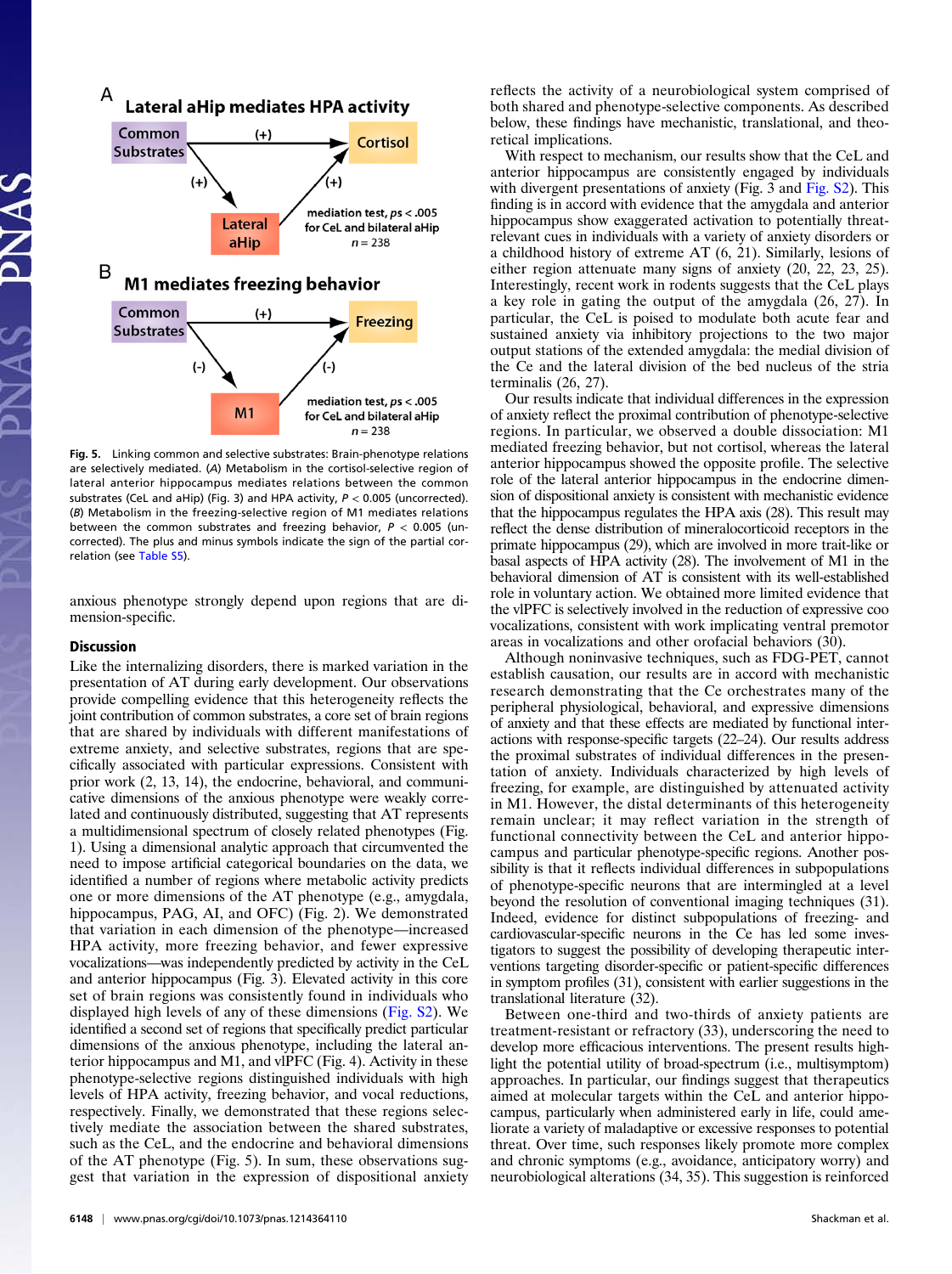

Fig. 5. Linking common and selective substrates: Brain-phenotype relations are selectively mediated. (A) Metabolism in the cortisol-selective region of lateral anterior hippocampus mediates relations between the common substrates (CeL and aHip) (Fig. 3) and HPA activity,  $P < 0.005$  (uncorrected). (B) Metabolism in the freezing-selective region of M1 mediates relations between the common substrates and freezing behavior,  $P < 0.005$  (uncorrected). The plus and minus symbols indicate the sign of the partial correlation (see [Table S5\)](http://www.pnas.org/lookup/suppl/doi:10.1073/pnas.1214364110/-/DCSupplemental/pnas.201214364SI.pdf?targetid=nameddest=ST5).

anxious phenotype strongly depend upon regions that are dimension-specific.

## **Discussion**

Like the internalizing disorders, there is marked variation in the presentation of AT during early development. Our observations provide compelling evidence that this heterogeneity reflects the joint contribution of common substrates, a core set of brain regions that are shared by individuals with different manifestations of extreme anxiety, and selective substrates, regions that are specifically associated with particular expressions. Consistent with prior work (2, 13, 14), the endocrine, behavioral, and communicative dimensions of the anxious phenotype were weakly correlated and continuously distributed, suggesting that AT represents a multidimensional spectrum of closely related phenotypes (Fig. 1). Using a dimensional analytic approach that circumvented the need to impose artificial categorical boundaries on the data, we identified a number of regions where metabolic activity predicts one or more dimensions of the AT phenotype (e.g., amygdala, hippocampus, PAG, AI, and OFC) (Fig. 2). We demonstrated that variation in each dimension of the phenotype—increased HPA activity, more freezing behavior, and fewer expressive vocalizations—was independently predicted by activity in the CeL and anterior hippocampus (Fig. 3). Elevated activity in this core set of brain regions was consistently found in individuals who displayed high levels of any of these dimensions ([Fig. S2\)](http://www.pnas.org/lookup/suppl/doi:10.1073/pnas.1214364110/-/DCSupplemental/pnas.201214364SI.pdf?targetid=nameddest=SF2). We identified a second set of regions that specifically predict particular dimensions of the anxious phenotype, including the lateral anterior hippocampus and M1, and vlPFC (Fig. 4). Activity in these phenotype-selective regions distinguished individuals with high levels of HPA activity, freezing behavior, and vocal reductions, respectively. Finally, we demonstrated that these regions selectively mediate the association between the shared substrates, such as the CeL, and the endocrine and behavioral dimensions of the AT phenotype (Fig. 5). In sum, these observations suggest that variation in the expression of dispositional anxiety

reflects the activity of a neurobiological system comprised of both shared and phenotype-selective components. As described below, these findings have mechanistic, translational, and theoretical implications.

With respect to mechanism, our results show that the CeL and anterior hippocampus are consistently engaged by individuals with divergent presentations of anxiety (Fig. 3 and [Fig. S2\)](http://www.pnas.org/lookup/suppl/doi:10.1073/pnas.1214364110/-/DCSupplemental/pnas.201214364SI.pdf?targetid=nameddest=SF2). This finding is in accord with evidence that the amygdala and anterior hippocampus show exaggerated activation to potentially threatrelevant cues in individuals with a variety of anxiety disorders or a childhood history of extreme AT (6, 21). Similarly, lesions of either region attenuate many signs of anxiety (20, 22, 23, 25). Interestingly, recent work in rodents suggests that the CeL plays a key role in gating the output of the amygdala (26, 27). In particular, the CeL is poised to modulate both acute fear and sustained anxiety via inhibitory projections to the two major output stations of the extended amygdala: the medial division of the Ce and the lateral division of the bed nucleus of the stria terminalis (26, 27).

Our results indicate that individual differences in the expression of anxiety reflect the proximal contribution of phenotype-selective regions. In particular, we observed a double dissociation: M1 mediated freezing behavior, but not cortisol, whereas the lateral anterior hippocampus showed the opposite profile. The selective role of the lateral anterior hippocampus in the endocrine dimension of dispositional anxiety is consistent with mechanistic evidence that the hippocampus regulates the HPA axis (28). This result may reflect the dense distribution of mineralocorticoid receptors in the primate hippocampus (29), which are involved in more trait-like or basal aspects of HPA activity (28). The involvement of M1 in the behavioral dimension of AT is consistent with its well-established role in voluntary action. We obtained more limited evidence that the vlPFC is selectively involved in the reduction of expressive coo vocalizations, consistent with work implicating ventral premotor areas in vocalizations and other orofacial behaviors (30).

Although noninvasive techniques, such as FDG-PET, cannot establish causation, our results are in accord with mechanistic research demonstrating that the Ce orchestrates many of the peripheral physiological, behavioral, and expressive dimensions of anxiety and that these effects are mediated by functional interactions with response-specific targets (22–24). Our results address the proximal substrates of individual differences in the presentation of anxiety. Individuals characterized by high levels of freezing, for example, are distinguished by attenuated activity in M1. However, the distal determinants of this heterogeneity remain unclear; it may reflect variation in the strength of functional connectivity between the CeL and anterior hippocampus and particular phenotype-specific regions. Another possibility is that it reflects individual differences in subpopulations of phenotype-specific neurons that are intermingled at a level beyond the resolution of conventional imaging techniques (31). Indeed, evidence for distinct subpopulations of freezing- and cardiovascular-specific neurons in the Ce has led some investigators to suggest the possibility of developing therapeutic interventions targeting disorder-specific or patient-specific differences in symptom profiles (31), consistent with earlier suggestions in the translational literature (32).

Between one-third and two-thirds of anxiety patients are treatment-resistant or refractory (33), underscoring the need to develop more efficacious interventions. The present results highlight the potential utility of broad-spectrum (i.e., multisymptom) approaches. In particular, our findings suggest that therapeutics aimed at molecular targets within the CeL and anterior hippocampus, particularly when administered early in life, could ameliorate a variety of maladaptive or excessive responses to potential threat. Over time, such responses likely promote more complex and chronic symptoms (e.g., avoidance, anticipatory worry) and neurobiological alterations (34, 35). This suggestion is reinforced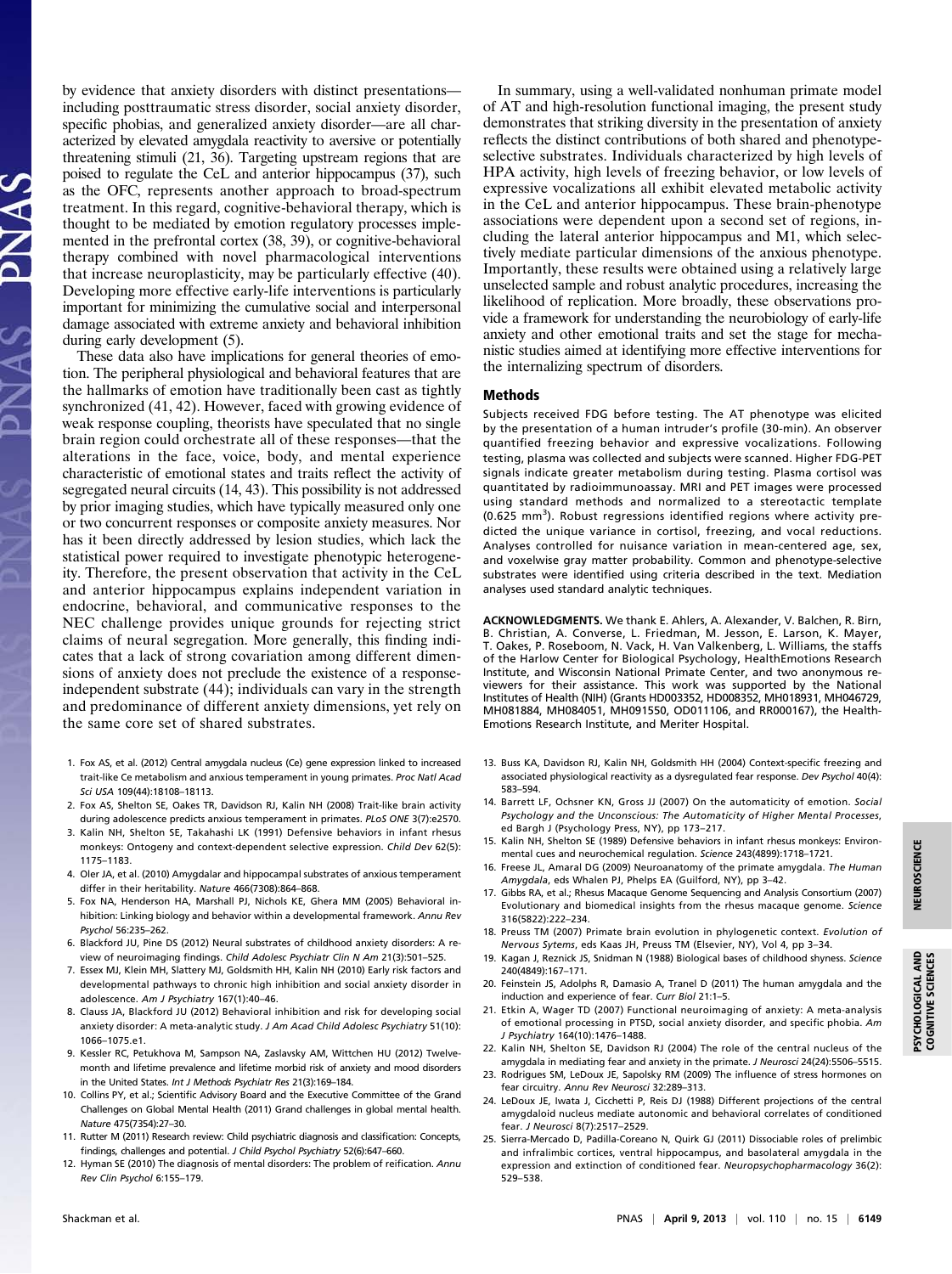by evidence that anxiety disorders with distinct presentations including posttraumatic stress disorder, social anxiety disorder, specific phobias, and generalized anxiety disorder—are all characterized by elevated amygdala reactivity to aversive or potentially threatening stimuli (21, 36). Targeting upstream regions that are poised to regulate the CeL and anterior hippocampus (37), such as the OFC, represents another approach to broad-spectrum treatment. In this regard, cognitive-behavioral therapy, which is thought to be mediated by emotion regulatory processes implemented in the prefrontal cortex (38, 39), or cognitive-behavioral therapy combined with novel pharmacological interventions that increase neuroplasticity, may be particularly effective (40). Developing more effective early-life interventions is particularly important for minimizing the cumulative social and interpersonal damage associated with extreme anxiety and behavioral inhibition during early development (5).

These data also have implications for general theories of emotion. The peripheral physiological and behavioral features that are the hallmarks of emotion have traditionally been cast as tightly synchronized (41, 42). However, faced with growing evidence of weak response coupling, theorists have speculated that no single brain region could orchestrate all of these responses—that the alterations in the face, voice, body, and mental experience characteristic of emotional states and traits reflect the activity of segregated neural circuits (14, 43). This possibility is not addressed by prior imaging studies, which have typically measured only one or two concurrent responses or composite anxiety measures. Nor has it been directly addressed by lesion studies, which lack the statistical power required to investigate phenotypic heterogeneity. Therefore, the present observation that activity in the CeL and anterior hippocampus explains independent variation in endocrine, behavioral, and communicative responses to the NEC challenge provides unique grounds for rejecting strict claims of neural segregation. More generally, this finding indicates that a lack of strong covariation among different dimensions of anxiety does not preclude the existence of a responseindependent substrate (44); individuals can vary in the strength and predominance of different anxiety dimensions, yet rely on the same core set of shared substrates.

- 1. Fox AS, et al. (2012) Central amygdala nucleus (Ce) gene expression linked to increased trait-like Ce metabolism and anxious temperament in young primates. Proc Natl Acad Sci USA 109(44):18108–18113.
- 2. Fox AS, Shelton SE, Oakes TR, Davidson RJ, Kalin NH (2008) Trait-like brain activity during adolescence predicts anxious temperament in primates. PLoS ONE 3(7):e2570.
- 3. Kalin NH, Shelton SE, Takahashi LK (1991) Defensive behaviors in infant rhesus monkeys: Ontogeny and context-dependent selective expression. Child Dev 62(5): 1175–1183.
- 4. Oler JA, et al. (2010) Amygdalar and hippocampal substrates of anxious temperament differ in their heritability. Nature 466(7308):864–868.
- 5. Fox NA, Henderson HA, Marshall PJ, Nichols KE, Ghera MM (2005) Behavioral inhibition: Linking biology and behavior within a developmental framework. Annu Rev Psychol 56:235–262.
- 6. Blackford JU, Pine DS (2012) Neural substrates of childhood anxiety disorders: A review of neuroimaging findings. Child Adolesc Psychiatr Clin N Am 21(3):501–525.
- 7. Essex MJ, Klein MH, Slattery MJ, Goldsmith HH, Kalin NH (2010) Early risk factors and developmental pathways to chronic high inhibition and social anxiety disorder in adolescence. Am J Psychiatry 167(1):40–46.
- 8. Clauss JA, Blackford JU (2012) Behavioral inhibition and risk for developing social anxiety disorder: A meta-analytic study. J Am Acad Child Adolesc Psychiatry 51(10): 1066–1075.e1.
- 9. Kessler RC, Petukhova M, Sampson NA, Zaslavsky AM, Wittchen HU (2012) Twelvemonth and lifetime prevalence and lifetime morbid risk of anxiety and mood disorders in the United States. Int J Methods Psychiatr Res 21(3):169-184.
- 10. Collins PY, et al.; Scientific Advisory Board and the Executive Committee of the Grand Challenges on Global Mental Health (2011) Grand challenges in global mental health. Nature 475(7354):27–30.
- 11. Rutter M (2011) Research review: Child psychiatric diagnosis and classification: Concepts, findings, challenges and potential. J Child Psychol Psychiatry 52(6):647–660.
- 12. Hyman SE (2010) The diagnosis of mental disorders: The problem of reification. Annu Rev Clin Psychol 6:155–179.

In summary, using a well-validated nonhuman primate model of AT and high-resolution functional imaging, the present study demonstrates that striking diversity in the presentation of anxiety reflects the distinct contributions of both shared and phenotypeselective substrates. Individuals characterized by high levels of HPA activity, high levels of freezing behavior, or low levels of expressive vocalizations all exhibit elevated metabolic activity in the CeL and anterior hippocampus. These brain-phenotype associations were dependent upon a second set of regions, including the lateral anterior hippocampus and M1, which selectively mediate particular dimensions of the anxious phenotype. Importantly, these results were obtained using a relatively large unselected sample and robust analytic procedures, increasing the likelihood of replication. More broadly, these observations provide a framework for understanding the neurobiology of early-life anxiety and other emotional traits and set the stage for mechanistic studies aimed at identifying more effective interventions for the internalizing spectrum of disorders.

## Methods

Subjects received FDG before testing. The AT phenotype was elicited by the presentation of a human intruder's profile (30-min). An observer quantified freezing behavior and expressive vocalizations. Following testing, plasma was collected and subjects were scanned. Higher FDG-PET signals indicate greater metabolism during testing. Plasma cortisol was quantitated by radioimmunoassay. MRI and PET images were processed using standard methods and normalized to a stereotactic template (0.625 mm<sup>3</sup>). Robust regressions identified regions where activity predicted the unique variance in cortisol, freezing, and vocal reductions. Analyses controlled for nuisance variation in mean-centered age, sex, and voxelwise gray matter probability. Common and phenotype-selective substrates were identified using criteria described in the text. Mediation analyses used standard analytic techniques.

ACKNOWLEDGMENTS. We thank E. Ahlers, A. Alexander, V. Balchen, R. Birn, B. Christian, A. Converse, L. Friedman, M. Jesson, E. Larson, K. Mayer, T. Oakes, P. Roseboom, N. Vack, H. Van Valkenberg, L. Williams, the staffs of the Harlow Center for Biological Psychology, HealthEmotions Research Institute, and Wisconsin National Primate Center, and two anonymous reviewers for their assistance. This work was supported by the National Institutes of Health (NIH) (Grants HD003352, HD008352, MH018931, MH046729, MH081884, MH084051, MH091550, OD011106, and RR000167), the Health-Emotions Research Institute, and Meriter Hospital.

- 13. Buss KA, Davidson RJ, Kalin NH, Goldsmith HH (2004) Context-specific freezing and associated physiological reactivity as a dysregulated fear response. Dev Psychol 40(4): 583–594.
- 14. Barrett LF, Ochsner KN, Gross JJ (2007) On the automaticity of emotion. Social Psychology and the Unconscious: The Automaticity of Higher Mental Processes, ed Bargh J (Psychology Press, NY), pp 173–217.
- 15. Kalin NH, Shelton SE (1989) Defensive behaviors in infant rhesus monkeys: Environmental cues and neurochemical regulation. Science 243(4899):1718–1721.
- 16. Freese JL, Amaral DG (2009) Neuroanatomy of the primate amygdala. The Human Amygdala, eds Whalen PJ, Phelps EA (Guilford, NY), pp 3–42.
- 17. Gibbs RA, et al.; Rhesus Macaque Genome Sequencing and Analysis Consortium (2007) Evolutionary and biomedical insights from the rhesus macaque genome. Science 316(5822):222–234.
- 18. Preuss TM (2007) Primate brain evolution in phylogenetic context. Evolution of Nervous Sytems, eds Kaas JH, Preuss TM (Elsevier, NY), Vol 4, pp 3–34.
- 19. Kagan J, Reznick JS, Snidman N (1988) Biological bases of childhood shyness. Science 240(4849):167–171.
- 20. Feinstein JS, Adolphs R, Damasio A, Tranel D (2011) The human amygdala and the induction and experience of fear. Curr Biol 21:1–5.
- 21. Etkin A, Wager TD (2007) Functional neuroimaging of anxiety: A meta-analysis of emotional processing in PTSD, social anxiety disorder, and specific phobia. Am J Psychiatry 164(10):1476–1488.
- 22. Kalin NH, Shelton SE, Davidson RJ (2004) The role of the central nucleus of the amygdala in mediating fear and anxiety in the primate. J Neurosci 24(24):5506-5515.
- 23. Rodrigues SM, LeDoux JE, Sapolsky RM (2009) The influence of stress hormones on fear circuitry. Annu Rev Neurosci 32:289–313.
- 24. LeDoux JE, Iwata J, Cicchetti P, Reis DJ (1988) Different projections of the central amygdaloid nucleus mediate autonomic and behavioral correlates of conditioned fear. J Neurosci 8(7):2517–2529.
- 25. Sierra-Mercado D, Padilla-Coreano N, Quirk GJ (2011) Dissociable roles of prelimbic and infralimbic cortices, ventral hippocampus, and basolateral amygdala in the expression and extinction of conditioned fear. Neuropsychopharmacology 36(2): 529–538.

NEUROSCIENCE

NEUROSCIENCE